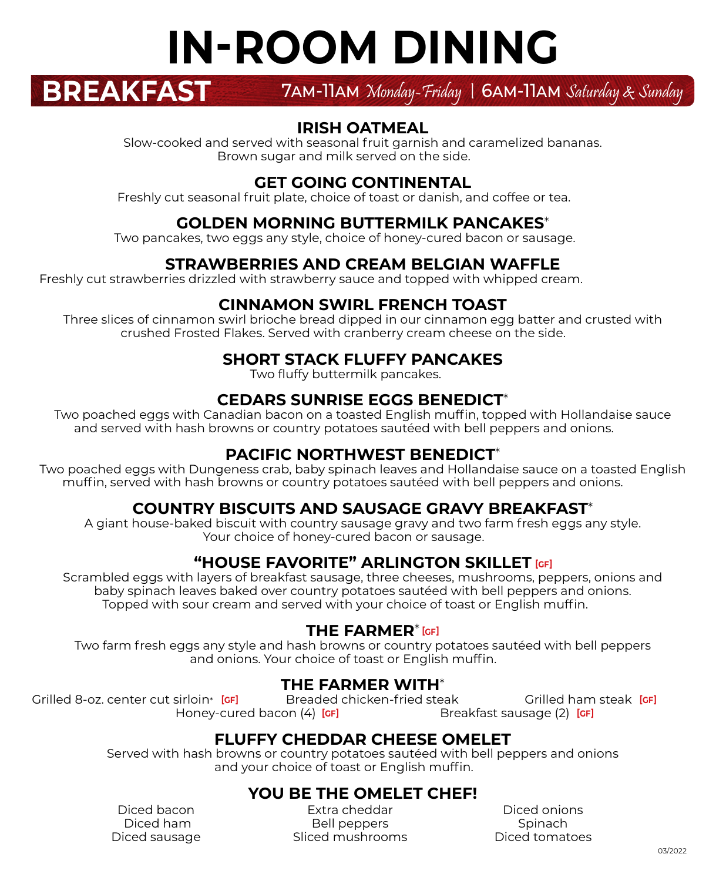# **IN-ROOM DINING**

**BREAKFAST** 7am-11am Monday-Friday | 6am-11am <sup>S</sup>aturday & Sunday

#### **IRISH OATMEAL**

Slow-cooked and served with seasonal fruit garnish and caramelized bananas. Brown sugar and milk served on the side.

#### **GET GOING CONTINENTAL**

Freshly cut seasonal fruit plate, choice of toast or danish, and coffee or tea. **13.00**

#### **GOLDEN MORNING BUTTERMILK PANCAKES**\*

Two pancakes, two eggs any style, choice of honey-cured bacon or sausage. **14.00**

#### **STRAWBERRIES AND CREAM BELGIAN WAFFLE**

Freshly cut strawberries drizzled with strawberry sauce and topped with whipped cream.

#### **CINNAMON SWIRL FRENCH TOAST**

Three slices of cinnamon swirl brioche bread dipped in our cinnamon egg batter and crusted with crushed Frosted Flakes. Served with cranberry cream cheese on the side. **14.00**

#### **SHORT STACK FLUFFY PANCAKES**

Two fluffy buttermilk pancakes.

#### **CEDARS SUNRISE EGGS BENEDICT**\*

Two poached eggs with Canadian bacon on a toasted English muffin, topped with Hollandaise sauce and served with hash browns or country potatoes sautéed with bell peppers and onions. **15.00**

#### **PACIFIC NORTHWEST BENEDICT**\*

Two poached eggs with Dungeness crab, baby spinach leaves and Hollandaise sauce on a toasted English muffin, served with hash browns or country potatoes sautéed with bell peppers and onions. **23.00**

#### **COUNTRY BISCUITS AND SAUSAGE GRAVY BREAKFAST**\*

A giant house-baked biscuit with country sausage gravy and two farm fresh eggs any style. Your choice of honey-cured bacon or sausage.

#### **"HOUSE FAVORITE" ARLINGTON SKILLET [GF]**

Scrambled eggs with layers of breakfast sausage, three cheeses, mushrooms, peppers, onions and baby spinach leaves baked over country potatoes sautéed with bell peppers and onions. Topped with sour cream and served with your choice of toast or English muffin. **16.00**

#### **THE FARMER**\* **[GF]**

Two farm fresh eggs any style and hash browns or country potatoes sautéed with bell peppers and onions. Your choice of toast or English muffin.

#### **THE FARMER WITH**\*

Grilled 8-oz. center cut sirloin\* **26.00** Breaded chicken-fried steak **18.00** Grilled ham steak **16.00** Honey-cured bacon (4) **[GF] Breaded chicken-fried steak Breakfast sausage (2) [GF]** 

#### **FLUFFY CHEDDAR CHEESE OMELET**

Served with hash browns or country potatoes sautéed with bell peppers and onions and your choice of toast or English muffin.

#### **YOU BE THE OMELET CHEF!**

Diced bacon Diced ham**2.25** Diced sausage **2.25**

Extra cheddar Bell peppers Sliced mushrooms **1.25**

Diced onions Spinach Diced tomatoes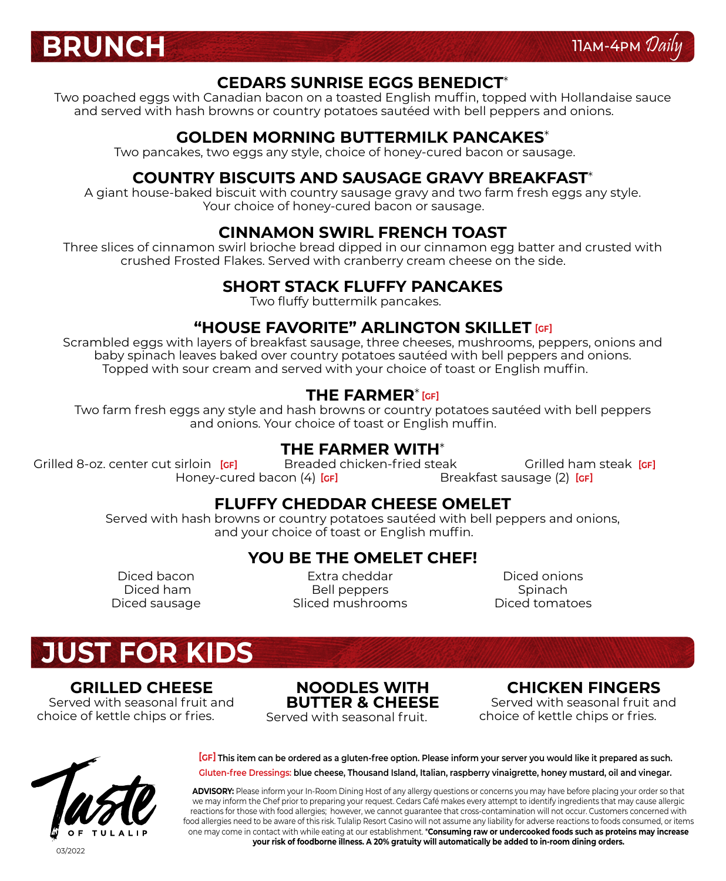



#### **CEDARS SUNRISE EGGS BENEDICT**\*

Two poached eggs with Canadian bacon on a toasted English muffin, topped with Hollandaise sauce and served with hash browns or country potatoes sautéed with bell peppers and onions. **15.00**

#### **GOLDEN MORNING BUTTERMILK PANCAKES**\*

Two pancakes, two eggs any style, choice of honey-cured bacon or sausage. **14.00**

#### **COUNTRY BISCUITS AND SAUSAGE GRAVY BREAKFAST**\*

A giant house-baked biscuit with country sausage gravy and two farm fresh eggs any style. Your choice of honey-cured bacon or sausage.

#### **CINNAMON SWIRL FRENCH TOAST**

Three slices of cinnamon swirl brioche bread dipped in our cinnamon egg batter and crusted with crushed Frosted Flakes. Served with cranberry cream cheese on the side. **14.00**

#### **SHORT STACK FLUFFY PANCAKES**

Two fluffy buttermilk pancakes.

#### **"HOUSE FAVORITE" ARLINGTON SKILLET [GF]**

Scrambled eggs with layers of breakfast sausage, three cheeses, mushrooms, peppers, onions and baby spinach leaves baked over country potatoes sautéed with bell peppers and onions. Topped with sour cream and served with your choice of toast or English muffin. **16.00**

#### **THE FARMER**\* **[GF]**

Two farm fresh eggs any style and hash browns or country potatoes sautéed with bell peppers and onions. Your choice of toast or English muffin.

#### **THE FARMER WITH**\*

Grilled 8-oz. center cut sirloin **[GF]** Breaded chicken-fried steak **18.000** Grilled ham steak **19.00**<br>Honey-cured bacon (4) **[GF]** Breakfast sausage (2) **[GF]** Honey-cured bacon (4) [GF] Breakfast sausage (2) [GF] **Breaded chicken-fried steak** 

#### **FLUFFY CHEDDAR CHEESE OMELET**

Served with hash browns or country potatoes sautéed with bell peppers and onions, and your choice of toast or English muffin.

#### **YOU BE THE OMELET CHEF!**

Diced bacon Diced ham Diced sausage **2.25**

Extra cheddar Bell peppers Sliced mushrooms **1.25**

Diced onions Spinach Diced tomatoes

# **JUST FOR KIDS**

#### **GRILLED CHEESE**

Served with seasonal fruit and choice of kettle chips or fries.

**NOODLES WITH BUTTER & CHEESE** Served with seasonal fruit.

#### **CHICKEN FINGERS** Served with seasonal fruit and choice of kettle chips or fries.



 **This item can be ordered as a gluten-free option. Please inform your server you would like it prepared as such. [GF] Gluten-free Dressings: blue cheese, Thousand Island, Italian, raspberry vinaigrette, honey mustard, oil and vinegar.**

**ADVISORY:** Please inform your In-Room Dining Host of any allergy questions or concerns you may have before placing your order so that we may inform the Chef prior to preparing your request. Cedars Café makes every attempt to identify ingredients that may cause allergic reactions for those with food allergies; however, we cannot guarantee that cross-contamination will not occur. Customers concerned with food allergies need to be aware of this risk. Tulalip Resort Casino will not assume any liability for adverse reactions to foods consumed, or items one may come in contact with while eating at our establishment. \***Consuming raw or undercooked foods such as proteins may increase your risk of foodborne illness. A 20% gratuity will automatically be added to in-room dining orders.**

03/2022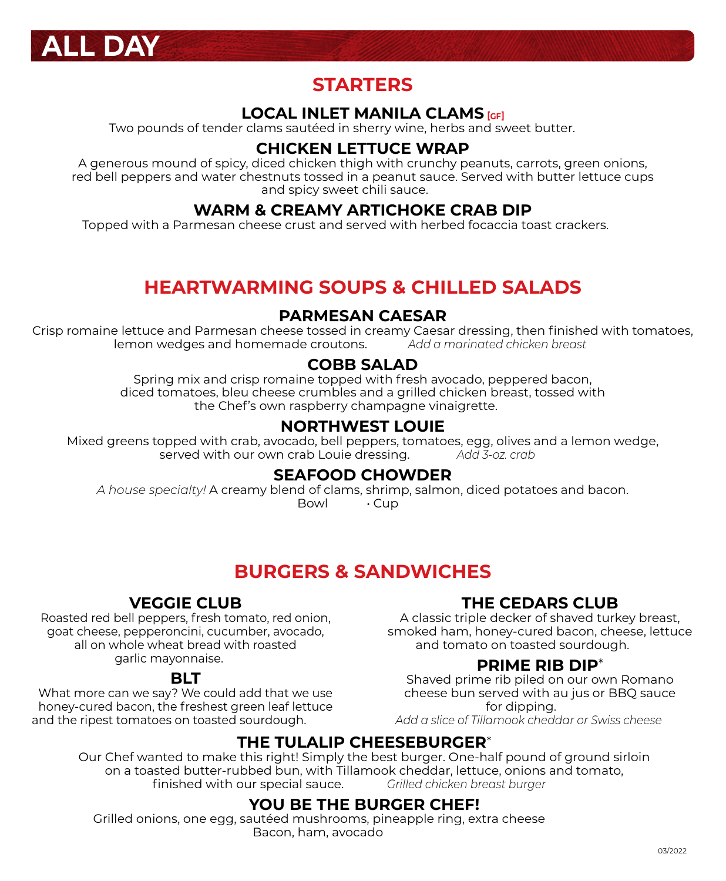

### **STARTERS**

#### **LOCAL INLET MANILA CLAMS [GF]**

Two pounds of tender clams sautéed in sherry wine, herbs and sweet butter. **24.00**

#### **CHICKEN LETTUCE WRAP**

A generous mound of spicy, diced chicken thigh with crunchy peanuts, carrots, green onions, red bell peppers and water chestnuts tossed in a peanut sauce. Served with butter lettuce cups and spicy sweet chili sauce.

#### **WARM & CREAMY ARTICHOKE CRAB DIP**

Topped with a Parmesan cheese crust and served with herbed focaccia toast crackers. **15.00**

## **HEARTWARMING SOUPS & CHILLED SALADS**

#### **PARMESAN CAESAR**

Crisp romaine lettuce and Parmesan cheese tossed in creamy Caesar dressing, then finished with tomatoes, lemon wedges and homemade croutons. **16.00** *Add a marinated chicken breast 5.25*

#### **COBB SALAD**

Spring mix and crisp romaine topped with fresh avocado, peppered bacon, diced tomatoes, bleu cheese crumbles and a grilled chicken breast, tossed with the Chef's own raspberry champagne vinaigrette. **15.50**

#### **NORTHWEST LOUIE**

Mixed greens topped with crab, avocado, bell peppers, tomatoes, egg, olives and a lemon wedge, served with our own crab Louie dressing. **26.00** *Add 3-oz. crab 15.00*

#### **SEAFOOD CHOWDER**

*A house specialty!* A creamy blend of clams, shrimp, salmon, diced potatoes and bacon. Bowl **· Cup** 

## **BURGERS & SANDWICHES**

#### **VEGGIE CLUB**

Roasted red bell peppers, fresh tomato, red onion, goat cheese, pepperoncini, cucumber, avocado, all on whole wheat bread with roasted garlic mayonnaise. **14.50**

#### **BLT**

What more can we say? We could add that we use honey-cured bacon, the freshest green leaf lettuce and the ripest tomatoes on toasted sourdough.

#### **THE CEDARS CLUB**

A classic triple decker of shaved turkey breast, smoked ham, honey-cured bacon, cheese, lettuce and tomato on toasted sourdough. **16.00**

#### **PRIME RIB DIP**\*

Shaved prime rib piled on our own Romano cheese bun served with au jus or BBQ sauce for dipping. *Add a slice of Tillamook cheddar or Swiss cheese 1.25*

#### **THE TULALIP CHEESEBURGER**\*

Our Chef wanted to make this right! Simply the best burger. One-half pound of ground sirloin on a toasted butter-rubbed bun, with Tillamook cheddar, lettuce, onions and tomato,<br>finished with our special sauce. *Crilled chicken breast burger* finished with our special sauce. **15.50** *Grilled chicken breast burger 15.50*

#### **YOU BE THE BURGER CHEF!**

Grilled onions, one egg, sautéed mushrooms, pineapple ring, extra cheese Bacon, ham, avocado